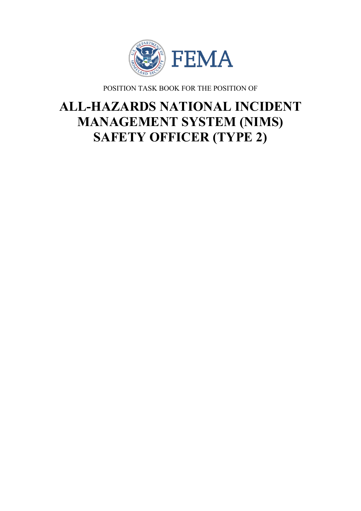

POSITION TASK BOOK FOR THE POSITION OF

# **ALL-HAZARDS NATIONAL INCIDENT MANAGEMENT SYSTEM (NIMS) SAFETY OFFICER (TYPE 2)**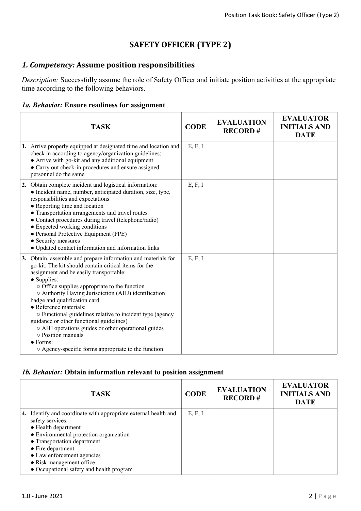# **SAFETY OFFICER (TYPE 2)**

## *1. Competency:* **Assume position responsibilities**

*Description:* Successfully assume the role of Safety Officer and initiate position activities at the appropriate time according to the following behaviors.

## *1a. Behavior:* **Ensure readiness for assignment**

| <b>TASK</b>                                                                                                                                                                                                                                                                                                                                                                                                                                                                                                                                                                                                          | <b>CODE</b> | <b>EVALUATION</b><br><b>RECORD#</b> | <b>EVALUATOR</b><br><b>INITIALS AND</b><br><b>DATE</b> |
|----------------------------------------------------------------------------------------------------------------------------------------------------------------------------------------------------------------------------------------------------------------------------------------------------------------------------------------------------------------------------------------------------------------------------------------------------------------------------------------------------------------------------------------------------------------------------------------------------------------------|-------------|-------------------------------------|--------------------------------------------------------|
| 1. Arrive properly equipped at designated time and location and<br>check in according to agency/organization guidelines:<br>• Arrive with go-kit and any additional equipment<br>• Carry out check-in procedures and ensure assigned<br>personnel do the same                                                                                                                                                                                                                                                                                                                                                        | E, F, I     |                                     |                                                        |
| 2. Obtain complete incident and logistical information:<br>• Incident name, number, anticipated duration, size, type,<br>responsibilities and expectations<br>• Reporting time and location<br>• Transportation arrangements and travel routes<br>• Contact procedures during travel (telephone/radio)<br>• Expected working conditions<br>• Personal Protective Equipment (PPE)<br>• Security measures<br>• Updated contact information and information links                                                                                                                                                       | E, F, I     |                                     |                                                        |
| 3. Obtain, assemble and prepare information and materials for<br>go-kit. The kit should contain critical items for the<br>assignment and be easily transportable:<br>• Supplies:<br>o Office supplies appropriate to the function<br>○ Authority Having Jurisdiction (AHJ) identification<br>badge and qualification card<br>• Reference materials:<br>○ Functional guidelines relative to incident type (agency<br>guidance or other functional guidelines)<br>○ AHJ operations guides or other operational guides<br>o Position manuals<br>$\bullet$ Forms:<br>○ Agency-specific forms appropriate to the function | E, F, I     |                                     |                                                        |

## *1b. Behavior:* **Obtain information relevant to position assignment**

| <b>TASK</b>                                                                                                                                                                                                                                                                                                             | <b>CODE</b> | <b>EVALUATION</b><br><b>RECORD#</b> | <b>EVALUATOR</b><br><b>INITIALS AND</b><br><b>DATE</b> |
|-------------------------------------------------------------------------------------------------------------------------------------------------------------------------------------------------------------------------------------------------------------------------------------------------------------------------|-------------|-------------------------------------|--------------------------------------------------------|
| 4. Identify and coordinate with appropriate external health and<br>safety services:<br>• Health department<br>• Environmental protection organization<br>• Transportation department<br>$\bullet$ Fire department<br>• Law enforcement agencies<br>• Risk management office<br>• Occupational safety and health program | E, F, I     |                                     |                                                        |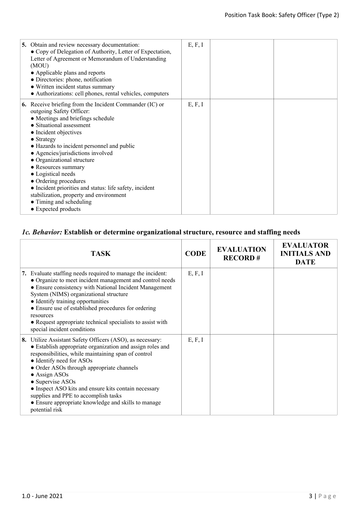| 5. Obtain and review necessary documentation:<br>• Copy of Delegation of Authority, Letter of Expectation,<br>Letter of Agreement or Memorandum of Understanding<br>(MOU)<br>• Applicable plans and reports<br>• Directories: phone, notification<br>• Written incident status summary<br>• Authorizations: cell phones, rental vehicles, computers                                                                                                                                                                                                       | E, F, I |  |
|-----------------------------------------------------------------------------------------------------------------------------------------------------------------------------------------------------------------------------------------------------------------------------------------------------------------------------------------------------------------------------------------------------------------------------------------------------------------------------------------------------------------------------------------------------------|---------|--|
| <b>6.</b> Receive briefing from the Incident Commander (IC) or<br>outgoing Safety Officer:<br>• Meetings and briefings schedule<br>• Situational assessment<br>• Incident objectives<br>$\bullet$ Strategy<br>• Hazards to incident personnel and public<br>• Agencies/jurisdictions involved<br>• Organizational structure<br>• Resources summary<br>• Logistical needs<br>• Ordering procedures<br>• Incident priorities and status: life safety, incident<br>stabilization, property and environment<br>• Timing and scheduling<br>• Expected products | E, F, I |  |

## *1c. Behavior:* **Establish or determine organizational structure, resource and staffing needs**

| <b>TASK</b>                                                                                                                                                                                                                                                                                                                                                                                                                                                                  | <b>CODE</b> | <b>EVALUATION</b><br><b>RECORD#</b> | <b>EVALUATOR</b><br><b>INITIALS AND</b><br><b>DATE</b> |
|------------------------------------------------------------------------------------------------------------------------------------------------------------------------------------------------------------------------------------------------------------------------------------------------------------------------------------------------------------------------------------------------------------------------------------------------------------------------------|-------------|-------------------------------------|--------------------------------------------------------|
| 7. Evaluate staffing needs required to manage the incident:<br>• Organize to meet incident management and control needs<br>• Ensure consistency with National Incident Management<br>System (NIMS) organizational structure<br>• Identify training opportunities<br>• Ensure use of established procedures for ordering<br>resources<br>• Request appropriate technical specialists to assist with<br>special incident conditions                                            | E, F, I     |                                     |                                                        |
| 8. Utilize Assistant Safety Officers (ASO), as necessary:<br>• Establish appropriate organization and assign roles and<br>responsibilities, while maintaining span of control<br>• Identify need for ASOs<br>• Order ASOs through appropriate channels<br>$\bullet$ Assign ASOs<br>• Supervise ASOs<br>• Inspect ASO kits and ensure kits contain necessary<br>supplies and PPE to accomplish tasks<br>• Ensure appropriate knowledge and skills to manage<br>potential risk | E, F, I     |                                     |                                                        |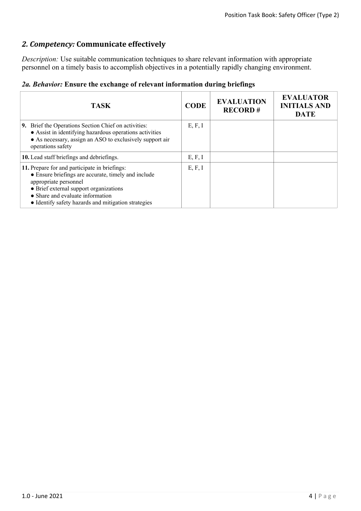## *2. Competency:* **Communicate effectively**

*Description:* Use suitable communication techniques to share relevant information with appropriate personnel on a timely basis to accomplish objectives in a potentially rapidly changing environment.

|  | 2a. Behavior: Ensure the exchange of relevant information during briefings |  |  |  |  |  |  |  |  |  |
|--|----------------------------------------------------------------------------|--|--|--|--|--|--|--|--|--|
|--|----------------------------------------------------------------------------|--|--|--|--|--|--|--|--|--|

| <b>TASK</b>                                                                                                                                                                                                                                                        | <b>CODE</b> | <b>EVALUATION</b><br><b>RECORD#</b> | <b>EVALUATOR</b><br><b>INITIALS AND</b><br><b>DATE</b> |
|--------------------------------------------------------------------------------------------------------------------------------------------------------------------------------------------------------------------------------------------------------------------|-------------|-------------------------------------|--------------------------------------------------------|
| <b>9.</b> Brief the Operations Section Chief on activities:<br>• Assist in identifying hazardous operations activities<br>• As necessary, assign an ASO to exclusively support air<br>operations safety                                                            | E, F, I     |                                     |                                                        |
| 10. Lead staff briefings and debriefings.                                                                                                                                                                                                                          | E, F, I     |                                     |                                                        |
| 11. Prepare for and participate in briefings:<br>• Ensure briefings are accurate, timely and include<br>appropriate personnel<br>• Brief external support organizations<br>• Share and evaluate information<br>• Identify safety hazards and mitigation strategies | E, F, I     |                                     |                                                        |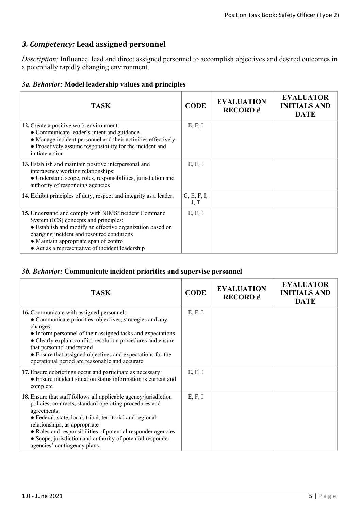## *3. Competency:* **Lead assigned personnel**

*Description:* Influence, lead and direct assigned personnel to accomplish objectives and desired outcomes in a potentially rapidly changing environment.

## *3a. Behavior:* **Model leadership values and principles**

| <b>TASK</b>                                                                                                                                                                                                                                                                                           | <b>CODE</b>         | <b>EVALUATION</b><br><b>RECORD#</b> | <b>EVALUATOR</b><br><b>INITIALS AND</b><br><b>DATE</b> |
|-------------------------------------------------------------------------------------------------------------------------------------------------------------------------------------------------------------------------------------------------------------------------------------------------------|---------------------|-------------------------------------|--------------------------------------------------------|
| 12. Create a positive work environment:<br>• Communicate leader's intent and guidance<br>• Manage incident personnel and their activities effectively<br>• Proactively assume responsibility for the incident and<br>initiate action                                                                  | E, F, I             |                                     |                                                        |
| 13. Establish and maintain positive interpersonal and<br>interagency working relationships:<br>• Understand scope, roles, responsibilities, jurisdiction and<br>authority of responding agencies                                                                                                      | E, F, I             |                                     |                                                        |
| 14. Exhibit principles of duty, respect and integrity as a leader.                                                                                                                                                                                                                                    | C, E, F, I,<br>J, T |                                     |                                                        |
| 15. Understand and comply with NIMS/Incident Command<br>System (ICS) concepts and principles:<br>• Establish and modify an effective organization based on<br>changing incident and resource conditions<br>• Maintain appropriate span of control<br>• Act as a representative of incident leadership | E, F, I             |                                     |                                                        |

## *3b. Behavior:* **Communicate incident priorities and supervise personnel**

| <b>TASK</b>                                                                                                                                                                                                                                                                                                                                                                                                 | <b>CODE</b> | <b>EVALUATION</b><br><b>RECORD#</b> | <b>EVALUATOR</b><br><b>INITIALS AND</b><br><b>DATE</b> |
|-------------------------------------------------------------------------------------------------------------------------------------------------------------------------------------------------------------------------------------------------------------------------------------------------------------------------------------------------------------------------------------------------------------|-------------|-------------------------------------|--------------------------------------------------------|
| <b>16.</b> Communicate with assigned personnel:<br>• Communicate priorities, objectives, strategies and any<br>changes<br>• Inform personnel of their assigned tasks and expectations<br>• Clearly explain conflict resolution procedures and ensure<br>that personnel understand<br>• Ensure that assigned objectives and expectations for the<br>operational period are reasonable and accurate           | E, F, I     |                                     |                                                        |
| 17. Ensure debriefings occur and participate as necessary:<br>• Ensure incident situation status information is current and<br>complete                                                                                                                                                                                                                                                                     | E, F, I     |                                     |                                                        |
| <b>18.</b> Ensure that staff follows all applicable agency/jurisdiction<br>policies, contracts, standard operating procedures and<br>agreements:<br>• Federal, state, local, tribal, territorial and regional<br>relationships, as appropriate<br>• Roles and responsibilities of potential responder agencies<br>• Scope, jurisdiction and authority of potential responder<br>agencies' contingency plans | E, F, I     |                                     |                                                        |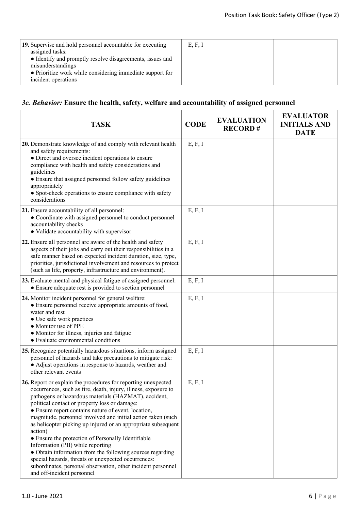| 19. Supervise and hold personnel accountable for executing<br>assigned tasks:<br>• Identify and promptly resolve disagreements, issues and<br>misunderstandings<br>• Prioritize work while considering immediate support for<br>incident operations | E, F, I |  |
|-----------------------------------------------------------------------------------------------------------------------------------------------------------------------------------------------------------------------------------------------------|---------|--|
|                                                                                                                                                                                                                                                     |         |  |

## *3c. Behavior:* **Ensure the health, safety, welfare and accountability of assigned personnel**

| <b>TASK</b>                                                                                                                                                                                                                                                                                                                                                                                                                                                                                                                                                                                                                                                                                                                                              | <b>CODE</b> | <b>EVALUATION</b><br><b>RECORD#</b> | <b>EVALUATOR</b><br><b>INITIALS AND</b><br><b>DATE</b> |
|----------------------------------------------------------------------------------------------------------------------------------------------------------------------------------------------------------------------------------------------------------------------------------------------------------------------------------------------------------------------------------------------------------------------------------------------------------------------------------------------------------------------------------------------------------------------------------------------------------------------------------------------------------------------------------------------------------------------------------------------------------|-------------|-------------------------------------|--------------------------------------------------------|
| 20. Demonstrate knowledge of and comply with relevant health<br>and safety requirements:<br>• Direct and oversee incident operations to ensure<br>compliance with health and safety considerations and<br>guidelines<br>• Ensure that assigned personnel follow safety guidelines<br>appropriately<br>• Spot-check operations to ensure compliance with safety<br>considerations                                                                                                                                                                                                                                                                                                                                                                         | E, F, I     |                                     |                                                        |
| 21. Ensure accountability of all personnel:<br>• Coordinate with assigned personnel to conduct personnel<br>accountability checks<br>• Validate accountability with supervisor                                                                                                                                                                                                                                                                                                                                                                                                                                                                                                                                                                           | E, F, I     |                                     |                                                        |
| 22. Ensure all personnel are aware of the health and safety<br>aspects of their jobs and carry out their responsibilities in a<br>safe manner based on expected incident duration, size, type,<br>priorities, jurisdictional involvement and resources to protect<br>(such as life, property, infrastructure and environment).                                                                                                                                                                                                                                                                                                                                                                                                                           | E, F, I     |                                     |                                                        |
| 23. Evaluate mental and physical fatigue of assigned personnel:<br>• Ensure adequate rest is provided to section personnel                                                                                                                                                                                                                                                                                                                                                                                                                                                                                                                                                                                                                               | E, F, I     |                                     |                                                        |
| 24. Monitor incident personnel for general welfare:<br>• Ensure personnel receive appropriate amounts of food,<br>water and rest<br>• Use safe work practices<br>• Monitor use of PPE<br>• Monitor for illness, injuries and fatigue<br>• Evaluate environmental conditions                                                                                                                                                                                                                                                                                                                                                                                                                                                                              | E, F, I     |                                     |                                                        |
| 25. Recognize potentially hazardous situations, inform assigned<br>personnel of hazards and take precautions to mitigate risk:<br>• Adjust operations in response to hazards, weather and<br>other relevant events                                                                                                                                                                                                                                                                                                                                                                                                                                                                                                                                       | E, F, I     |                                     |                                                        |
| 26. Report or explain the procedures for reporting unexpected<br>occurrences, such as fire, death, injury, illness, exposure to<br>pathogens or hazardous materials (HAZMAT), accident,<br>political contact or property loss or damage:<br>• Ensure report contains nature of event, location,<br>magnitude, personnel involved and initial action taken (such<br>as helicopter picking up injured or an appropriate subsequent<br>action)<br>• Ensure the protection of Personally Identifiable<br>Information (PII) while reporting<br>• Obtain information from the following sources regarding<br>special hazards, threats or unexpected occurrences:<br>subordinates, personal observation, other incident personnel<br>and off-incident personnel | E, F, I     |                                     |                                                        |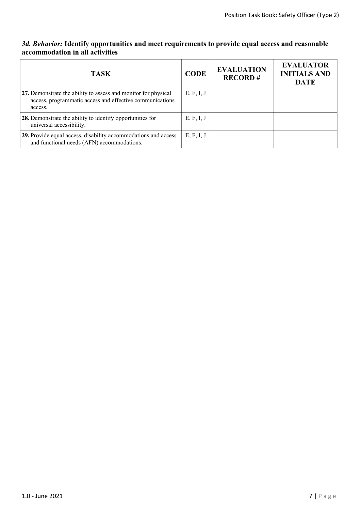### *3d. Behavior:* **Identify opportunities and meet requirements to provide equal access and reasonable accommodation in all activities**

| <b>TASK</b>                                                                                                                           | <b>CODE</b> | <b>EVALUATION</b><br><b>RECORD#</b> | <b>EVALUATOR</b><br><b>INITIALS AND</b><br><b>DATE</b> |
|---------------------------------------------------------------------------------------------------------------------------------------|-------------|-------------------------------------|--------------------------------------------------------|
| 27. Demonstrate the ability to assess and monitor for physical<br>access, programmatic access and effective communications<br>access. | E, F, I, J  |                                     |                                                        |
| 28. Demonstrate the ability to identify opportunities for<br>universal accessibility.                                                 | E, F, I, J  |                                     |                                                        |
| 29. Provide equal access, disability accommodations and access<br>and functional needs (AFN) accommodations.                          | E, F, I, J  |                                     |                                                        |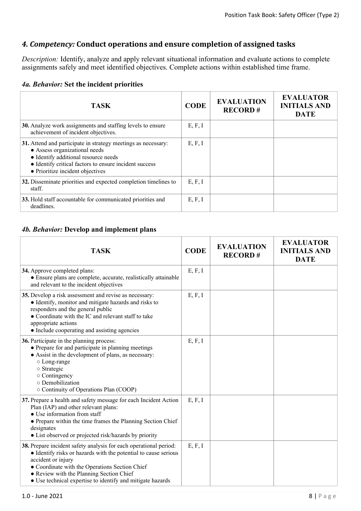## *4. Competency:* **Conduct operations and ensure completion of assigned tasks**

*Description:* Identify, analyze and apply relevant situational information and evaluate actions to complete assignments safely and meet identified objectives. Complete actions within established time frame.

|  | 4a. Behavior: Set the incident priorities |  |  |  |
|--|-------------------------------------------|--|--|--|
|--|-------------------------------------------|--|--|--|

| <b>TASK</b>                                                                                                                                                                                                                          | <b>CODE</b> | <b>EVALUATION</b><br><b>RECORD#</b> | <b>EVALUATOR</b><br><b>INITIALS AND</b><br><b>DATE</b> |
|--------------------------------------------------------------------------------------------------------------------------------------------------------------------------------------------------------------------------------------|-------------|-------------------------------------|--------------------------------------------------------|
| 30. Analyze work assignments and staffing levels to ensure<br>achievement of incident objectives.                                                                                                                                    | E, F, I     |                                     |                                                        |
| 31. Attend and participate in strategy meetings as necessary:<br>• Assess organizational needs<br>• Identify additional resource needs<br>• Identify critical factors to ensure incident success<br>• Prioritize incident objectives | E, F, I     |                                     |                                                        |
| 32. Disseminate priorities and expected completion timelines to<br>staff.                                                                                                                                                            | E, F, I     |                                     |                                                        |
| 33. Hold staff accountable for communicated priorities and<br>deadlines.                                                                                                                                                             | E, F, I     |                                     |                                                        |

## *4b. Behavior:* **Develop and implement plans**

| <b>TASK</b>                                                                                                                                                                                                                                                                                                            | <b>CODE</b> | <b>EVALUATION</b><br><b>RECORD#</b> | <b>EVALUATOR</b><br><b>INITIALS AND</b><br><b>DATE</b> |
|------------------------------------------------------------------------------------------------------------------------------------------------------------------------------------------------------------------------------------------------------------------------------------------------------------------------|-------------|-------------------------------------|--------------------------------------------------------|
| 34. Approve completed plans:<br>• Ensure plans are complete, accurate, realistically attainable<br>and relevant to the incident objectives                                                                                                                                                                             | E, F, I     |                                     |                                                        |
| 35. Develop a risk assessment and revise as necessary:<br>• Identify, monitor and mitigate hazards and risks to<br>responders and the general public<br>• Coordinate with the IC and relevant staff to take<br>appropriate actions<br>• Include cooperating and assisting agencies                                     | E, F, I     |                                     |                                                        |
| 36. Participate in the planning process:<br>• Prepare for and participate in planning meetings<br>• Assist in the development of plans, as necessary:<br>○ Long-range<br>o Strategic<br>o Contingency<br>o Demobilization<br>○ Continuity of Operations Plan (COOP)                                                    | E, F, I     |                                     |                                                        |
| 37. Prepare a health and safety message for each Incident Action<br>Plan (IAP) and other relevant plans:<br>• Use information from staff<br>• Prepare within the time frames the Planning Section Chief<br>designates<br>• List observed or projected risk/hazards by priority                                         | E, F, I     |                                     |                                                        |
| 38. Prepare incident safety analysis for each operational period:<br>• Identify risks or hazards with the potential to cause serious<br>accident or injury<br>• Coordinate with the Operations Section Chief<br>• Review with the Planning Section Chief<br>• Use technical expertise to identify and mitigate hazards | E, F, I     |                                     |                                                        |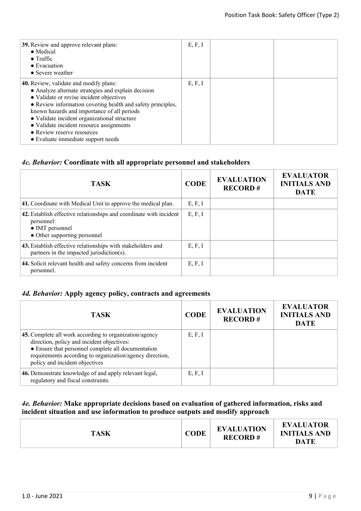| <b>39.</b> Review and approve relevant plans:<br>• Medical<br>$\bullet$ Traffic<br>$\bullet$ Evacuation<br>• Severe weather                                                                                                                                                                                                                                                                                             | E, F, I |  |
|-------------------------------------------------------------------------------------------------------------------------------------------------------------------------------------------------------------------------------------------------------------------------------------------------------------------------------------------------------------------------------------------------------------------------|---------|--|
| 40. Review, validate and modify plans:<br>• Analyze alternate strategies and explain decision<br>• Validate or revise incident objectives<br>• Review information covering health and safety principles,<br>known hazards and importance of all periods<br>• Validate incident organizational structure<br>• Validate incident resource assignments<br>• Review reserve resources<br>• Evaluate immediate support needs | E, F, I |  |

#### *4c. Behavior:* **Coordinate with all appropriate personnel and stakeholders**

| <b>TASK</b>                                                                                                                         | <b>CODE</b> | <b>EVALUATION</b><br><b>RECORD#</b> | <b>EVALUATOR</b><br><b>INITIALS AND</b><br><b>DATE</b> |
|-------------------------------------------------------------------------------------------------------------------------------------|-------------|-------------------------------------|--------------------------------------------------------|
| 41. Coordinate with Medical Unit to approve the medical plan.                                                                       | E, F, I     |                                     |                                                        |
| 42. Establish effective relationships and coordinate with incident<br>personnel:<br>• IMT personnel<br>• Other supporting personnel | E, F, I     |                                     |                                                        |
| 43. Establish effective relationships with stakeholders and<br>partners in the impacted jurisdiction(s).                            | E, F, I     |                                     |                                                        |
| 44. Solicit relevant health and safety concerns from incident<br>personnel.                                                         | E, F, I     |                                     |                                                        |

#### *4d. Behavior:* **Apply agency policy, contracts and agreements**

| <b>TASK</b>                                                                                                                                                                                                                                              | <b>CODE</b> | <b>EVALUATION</b><br><b>RECORD#</b> | <b>EVALUATOR</b><br><b>INITIALS AND</b><br><b>DATE</b> |
|----------------------------------------------------------------------------------------------------------------------------------------------------------------------------------------------------------------------------------------------------------|-------------|-------------------------------------|--------------------------------------------------------|
| 45. Complete all work according to organization/agency<br>direction, policy and incident objectives:<br>• Ensure that personnel complete all documentation<br>requirements according to organization/agency direction,<br>policy and incident objectives | E, F, I     |                                     |                                                        |
| 46. Demonstrate knowledge of and apply relevant legal,<br>regulatory and fiscal constraints.                                                                                                                                                             | E, F, I     |                                     |                                                        |

## *4e. Behavior:* **Make appropriate decisions based on evaluation of gathered information, risks and incident situation and use information to produce outputs and modify approach**

| <b>DATE</b> | <b>TASK</b> | <b>CODE</b> | <b>EVALUATION</b><br><b>RECORD#</b> | <b>EVALUATOR</b><br><b>INITIALS AND</b> |
|-------------|-------------|-------------|-------------------------------------|-----------------------------------------|
|-------------|-------------|-------------|-------------------------------------|-----------------------------------------|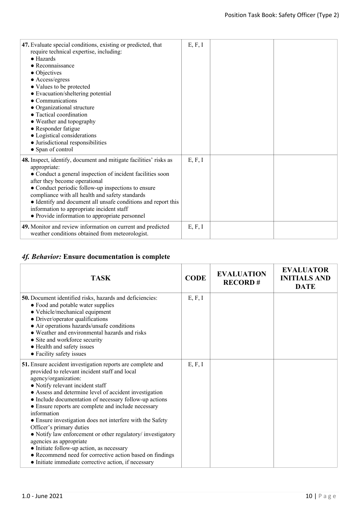| 47. Evaluate special conditions, existing or predicted, that<br>require technical expertise, including:<br>$\bullet$ Hazards<br>$\bullet$ Reconnaissance<br>• Objectives<br>• Access/egress<br>• Values to be protected<br>• Evacuation/sheltering potential<br>• Communications<br>• Organizational structure<br>• Tactical coordination<br>• Weather and topography<br>• Responder fatigue<br>• Logistical considerations<br>• Jurisdictional responsibilities<br>• Span of control | E, F, I |  |
|---------------------------------------------------------------------------------------------------------------------------------------------------------------------------------------------------------------------------------------------------------------------------------------------------------------------------------------------------------------------------------------------------------------------------------------------------------------------------------------|---------|--|
| 48. Inspect, identify, document and mitigate facilities' risks as<br>appropriate:<br>• Conduct a general inspection of incident facilities soon<br>after they become operational<br>• Conduct periodic follow-up inspections to ensure<br>compliance with all health and safety standards<br>• Identify and document all unsafe conditions and report this<br>information to appropriate incident staff<br>• Provide information to appropriate personnel                             | E, F, I |  |
| 49. Monitor and review information on current and predicted<br>weather conditions obtained from meteorologist.                                                                                                                                                                                                                                                                                                                                                                        | E, F, I |  |

# *4f. Behavior:* **Ensure documentation is complete**

| <b>TASK</b>                                                                                                                                                                                                                                                                                                                                                                                                                                                                                                                                                                                                                                                                                                          | <b>CODE</b> | <b>EVALUATION</b><br><b>RECORD#</b> | <b>EVALUATOR</b><br><b>INITIALS AND</b><br><b>DATE</b> |
|----------------------------------------------------------------------------------------------------------------------------------------------------------------------------------------------------------------------------------------------------------------------------------------------------------------------------------------------------------------------------------------------------------------------------------------------------------------------------------------------------------------------------------------------------------------------------------------------------------------------------------------------------------------------------------------------------------------------|-------------|-------------------------------------|--------------------------------------------------------|
| 50. Document identified risks, hazards and deficiencies:<br>• Food and potable water supplies<br>• Vehicle/mechanical equipment<br>• Driver/operator qualifications<br>• Air operations hazards/unsafe conditions<br>• Weather and environmental hazards and risks<br>• Site and workforce security<br>• Health and safety issues<br>• Facility safety issues                                                                                                                                                                                                                                                                                                                                                        | E, F, I     |                                     |                                                        |
| 51. Ensure accident investigation reports are complete and<br>provided to relevant incident staff and local<br>agency/organization:<br>• Notify relevant incident staff<br>• Assess and determine level of accident investigation<br>• Include documentation of necessary follow-up actions<br>• Ensure reports are complete and include necessary<br>information<br>• Ensure investigation does not interfere with the Safety<br>Officer's primary duties<br>• Notify law enforcement or other regulatory/investigatory<br>agencies as appropriate<br>• Initiate follow-up action, as necessary<br>• Recommend need for corrective action based on findings<br>• Initiate immediate corrective action, if necessary | E, F, I     |                                     |                                                        |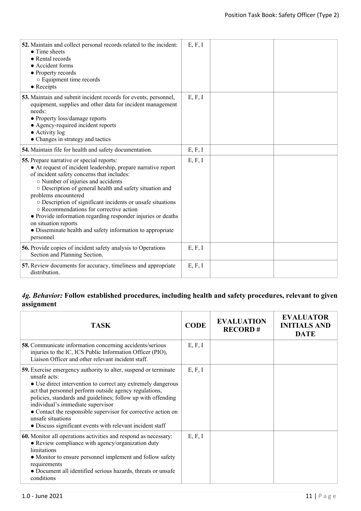| E, F, I |  |
|---------|--|
| E, F, I |  |
| E, F, I |  |
| E, F, I |  |
| E, F, I |  |
| E, F, I |  |
|         |  |

## *4g. Behavior:* **Follow established procedures, including health and safety procedures, relevant to given assignment**

| <b>TASK</b>                                                                                                                                                                                                                                                                                                                                                                                                                                                       | <b>CODE</b> | <b>EVALUATION</b><br><b>RECORD#</b> | <b>EVALUATOR</b><br><b>INITIALS AND</b><br><b>DATE</b> |
|-------------------------------------------------------------------------------------------------------------------------------------------------------------------------------------------------------------------------------------------------------------------------------------------------------------------------------------------------------------------------------------------------------------------------------------------------------------------|-------------|-------------------------------------|--------------------------------------------------------|
| <b>58.</b> Communicate information concerning accidents/serious<br>injuries to the IC, ICS Public Information Officer (PIO),<br>Liaison Officer and other relevant incident staff.                                                                                                                                                                                                                                                                                | E, F, I     |                                     |                                                        |
| 59. Exercise emergency authority to alter, suspend or terminate<br>unsafe acts:<br>• Use direct intervention to correct any extremely dangerous<br>act that personnel perform outside agency regulations,<br>policies, standards and guidelines; follow up with offending<br>individual's immediate supervisor<br>• Contact the responsible supervisor for corrective action on<br>unsafe situations<br>• Discuss significant events with relevant incident staff | E, F, I     |                                     |                                                        |
| 60. Monitor all operations activities and respond as necessary:<br>• Review compliance with agency/organization duty<br>limitations<br>• Monitor to ensure personnel implement and follow safety<br>requirements<br>• Document all identified serious hazards, threats or unsafe<br>conditions                                                                                                                                                                    | E, F, I     |                                     |                                                        |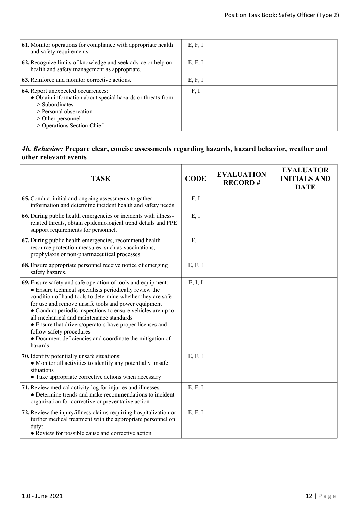| 61. Monitor operations for compliance with appropriate health<br>and safety requirements.                                                                                                                    | E, F, I |  |
|--------------------------------------------------------------------------------------------------------------------------------------------------------------------------------------------------------------|---------|--|
| 62. Recognize limits of knowledge and seek advice or help on<br>health and safety management as appropriate.                                                                                                 | E, F, I |  |
| 63. Reinforce and monitor corrective actions.                                                                                                                                                                | E, F, I |  |
| 64. Report unexpected occurrences:<br>• Obtain information about special hazards or threats from:<br>$\circ$ Subordinates<br>○ Personal observation<br>$\circ$ Other personnel<br>o Operations Section Chief | F, I    |  |

#### *4h. Behavior:* **Prepare clear, concise assessments regarding hazards, hazard behavior, weather and other relevant events**

| <b>TASK</b>                                                                                                                                                                                                                                                                                                                                                                                                                                                                                                           | <b>CODE</b> | <b>EVALUATION</b><br><b>RECORD#</b> | <b>EVALUATOR</b><br><b>INITIALS AND</b><br><b>DATE</b> |
|-----------------------------------------------------------------------------------------------------------------------------------------------------------------------------------------------------------------------------------------------------------------------------------------------------------------------------------------------------------------------------------------------------------------------------------------------------------------------------------------------------------------------|-------------|-------------------------------------|--------------------------------------------------------|
| 65. Conduct initial and ongoing assessments to gather<br>information and determine incident health and safety needs.                                                                                                                                                                                                                                                                                                                                                                                                  | F, I        |                                     |                                                        |
| 66. During public health emergencies or incidents with illness-<br>related threats, obtain epidemiological trend details and PPE<br>support requirements for personnel.                                                                                                                                                                                                                                                                                                                                               | E, I        |                                     |                                                        |
| 67. During public health emergencies, recommend health<br>resource protection measures, such as vaccinations,<br>prophylaxis or non-pharmaceutical processes.                                                                                                                                                                                                                                                                                                                                                         | E, I        |                                     |                                                        |
| 68. Ensure appropriate personnel receive notice of emerging<br>safety hazards.                                                                                                                                                                                                                                                                                                                                                                                                                                        | E, F, I     |                                     |                                                        |
| 69. Ensure safety and safe operation of tools and equipment:<br>• Ensure technical specialists periodically review the<br>condition of hand tools to determine whether they are safe<br>for use and remove unsafe tools and power equipment<br>• Conduct periodic inspections to ensure vehicles are up to<br>all mechanical and maintenance standards<br>• Ensure that drivers/operators have proper licenses and<br>follow safety procedures<br>• Document deficiencies and coordinate the mitigation of<br>hazards | E, I, J     |                                     |                                                        |
| 70. Identify potentially unsafe situations:<br>• Monitor all activities to identify any potentially unsafe<br>situations<br>• Take appropriate corrective actions when necessary                                                                                                                                                                                                                                                                                                                                      | E, F, I     |                                     |                                                        |
| 71. Review medical activity log for injuries and illnesses:<br>• Determine trends and make recommendations to incident<br>organization for corrective or preventative action                                                                                                                                                                                                                                                                                                                                          | E, F, I     |                                     |                                                        |
| 72. Review the injury/illness claims requiring hospitalization or<br>further medical treatment with the appropriate personnel on<br>duty:<br>• Review for possible cause and corrective action                                                                                                                                                                                                                                                                                                                        | E, F, I     |                                     |                                                        |